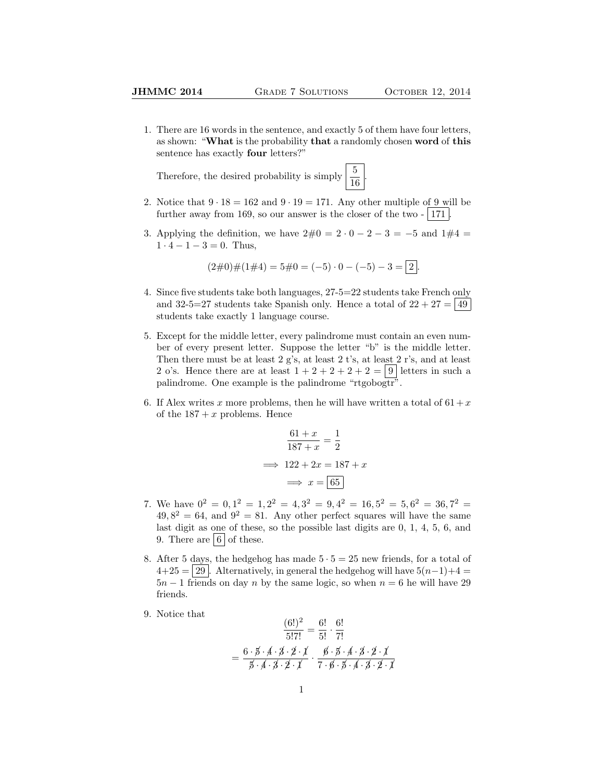1. There are 16 words in the sentence, and exactly 5 of them have four letters, as shown: "What is the probability that a randomly chosen word of this sentence has exactly four letters?"

Therefore, the desired probability is simply  $\frac{5}{16}$ 

2. Notice that  $9 \cdot 18 = 162$  and  $9 \cdot 19 = 171$ . Any other multiple of 9 will be further away from 169, so our answer is the closer of the two  $-$  171.

.

3. Applying the definition, we have  $2\#0 = 2 \cdot 0 - 2 - 3 = -5$  and  $1\#4 =$  $1 \cdot 4 - 1 - 3 = 0$ . Thus,

$$
(2\#0)\#(1\#4) = 5\#0 = (-5) \cdot 0 - (-5) - 3 = 2.
$$

- 4. Since five students take both languages, 27-5=22 students take French only and 32-5=27 students take Spanish only. Hence a total of  $22 + 27 = |49|$ students take exactly 1 language course.
- 5. Except for the middle letter, every palindrome must contain an even number of every present letter. Suppose the letter "b" is the middle letter. Then there must be at least 2 g's, at least 2 t's, at least 2 r's, and at least 2 o's. Hence there are at least  $1+2+2+2+2=9$  letters in such a palindrome. One example is the palindrome "rtgobogtr".
- 6. If Alex writes x more problems, then he will have written a total of  $61 + x$ of the  $187 + x$  problems. Hence

$$
\frac{61+x}{187+x} = \frac{1}{2}
$$

$$
\implies 122 + 2x = 187 + x
$$

$$
\implies x = \boxed{65}
$$

- 7. We have  $0^2 = 0, 1^2 = 1, 2^2 = 4, 3^2 = 9, 4^2 = 16, 5^2 = 5, 6^2 = 36, 7^2 = 5$  $49,8^2 = 64$ , and  $9^2 = 81$ . Any other perfect squares will have the same last digit as one of these, so the possible last digits are 0, 1, 4, 5, 6, and 9. There are  $6 \cdot 6$  of these.
- 8. After 5 days, the hedgehog has made  $5 \cdot 5 = 25$  new friends, for a total of  $4+25 = 29$ . Alternatively, in general the hedgehog will have  $5(n-1)+4 = 4$  $5n-1$  friends on day n by the same logic, so when  $n=6$  he will have 29 friends.
- 9. Notice that

$$
\frac{(6!)^2}{5!7!} = \frac{6!}{5!} \cdot \frac{6!}{7!}
$$

$$
= \frac{6 \cdot \cancel{5} \cdot \cancel{4} \cdot \cancel{3} \cdot \cancel{2} \cdot \cancel{1}}{\cancel{5} \cdot \cancel{4} \cdot \cancel{3} \cdot \cancel{2} \cdot \cancel{1}} \cdot \frac{\cancel{6} \cdot \cancel{5} \cdot \cancel{4} \cdot \cancel{3} \cdot \cancel{2} \cdot \cancel{1}}{7 \cdot \cancel{6} \cdot \cancel{5} \cdot \cancel{4} \cdot \cancel{3} \cdot \cancel{2} \cdot \cancel{1}}
$$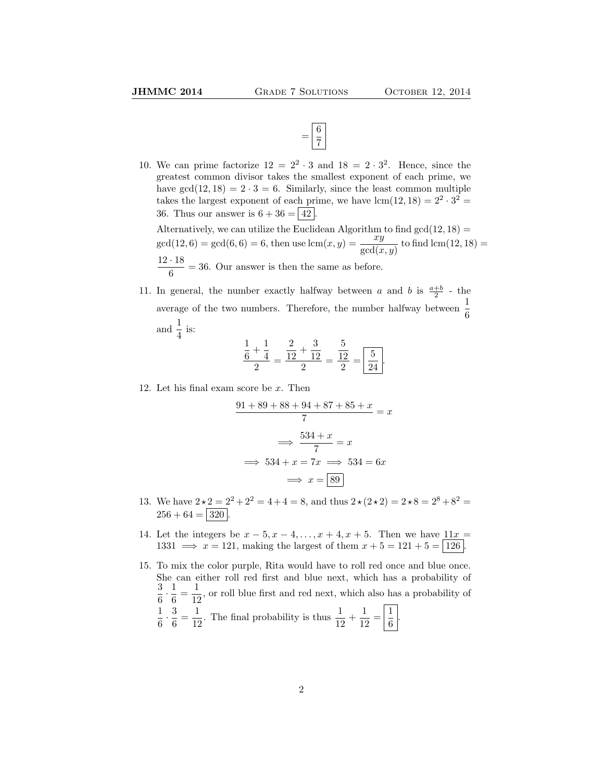

10. We can prime factorize  $12 = 2^2 \cdot 3$  and  $18 = 2 \cdot 3^2$ . Hence, since the greatest common divisor takes the smallest exponent of each prime, we have  $gcd(12, 18) = 2 \cdot 3 = 6$ . Similarly, since the least common multiple takes the largest exponent of each prime, we have  $lcm(12, 18) = 2^2 \cdot 3^2 =$ 36. Thus our answer is  $6 + 36 = |42|$ 

Alternatively, we can utilize the Euclidean Algorithm to find  $gcd(12, 18) =$  $gcd(12, 6) = gcd(6, 6) = 6$ , then use  $lcm(x, y) = \frac{xy}{gcd(x, y)}$  to find  $lcm(12, 18) =$  $12 \cdot 18$  $\frac{1}{6}$  = 36. Our answer is then the same as before.

11. In general, the number exactly halfway between a and b is  $\frac{a+b}{2}$  - the average of the two numbers. Therefore, the number halfway between  $\frac{1}{6}$ and  $\frac{1}{4}$  is:

$$
\frac{\frac{1}{6} + \frac{1}{4}}{2} = \frac{\frac{2}{12} + \frac{3}{12}}{2} = \frac{\frac{5}{12}}{2} = \boxed{\frac{5}{24}}.
$$

12. Let his final exam score be x. Then

$$
\frac{91 + 89 + 88 + 94 + 87 + 85 + x}{7} = x
$$

$$
\implies \frac{534 + x}{7} = x
$$

$$
\implies 534 + x = 7x \implies 534 = 6x
$$

$$
\implies x = \boxed{89}
$$

- 13. We have  $2 \times 2 = 2^2 + 2^2 = 4 + 4 = 8$ , and thus  $2 \times (2 \times 2) = 2 \times 8 = 2^8 + 8^2 = 8$  $256 + 64 = 320$
- 14. Let the integers be  $x 5$ ,  $x 4$ , ...,  $x + 4$ ,  $x + 5$ . Then we have  $11x =$ 1331  $\implies x = 121$ , making the largest of them  $x + 5 = 121 + 5 = 126$ .
- 15. To mix the color purple, Rita would have to roll red once and blue once. She can either roll red first and blue next, which has a probability of 3  $\frac{3}{6} \cdot \frac{1}{6}$  $\frac{1}{6} = \frac{1}{12}$  $\frac{1}{12}$ , or roll blue first and red next, which also has a probability of 1  $\frac{1}{6} \cdot \frac{3}{6}$  $\frac{3}{6} = \frac{1}{12}$  $\frac{1}{12}$ . The final probability is thus  $\frac{1}{12} + \frac{1}{12}$  $\frac{1}{12} = \left| \frac{1}{6} \right|$  $\frac{1}{6}$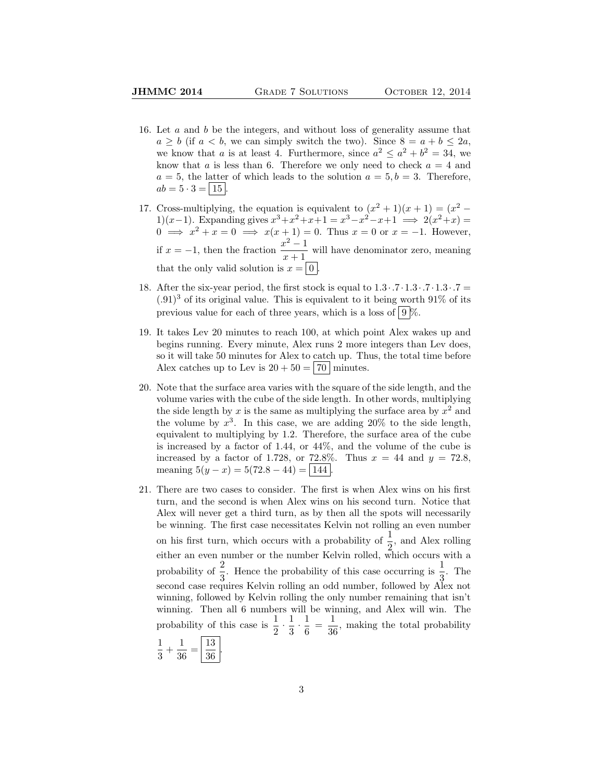- 16. Let a and b be the integers, and without loss of generality assume that  $a \geq b$  (if  $a < b$ , we can simply switch the two). Since  $8 = a + b \leq 2a$ , we know that a is at least 4. Furthermore, since  $a^2 \le a^2 + b^2 = 34$ , we know that a is less than 6. Therefore we only need to check  $a = 4$  and  $a = 5$ , the latter of which leads to the solution  $a = 5, b = 3$ . Therefore,  $ab = 5 \cdot 3 = | 15 |$ .
- 17. Cross-multiplying, the equation is equivalent to  $(x^2 + 1)(x + 1) = (x^2 -$ 1)(x-1). Expanding gives  $x^3 + x^2 + x + 1 = x^3 - x^2 - x + 1 \implies 2(x^2 + x) =$  $0 \implies x^2 + x = 0 \implies x(x+1) = 0$ . Thus  $x = 0$  or  $x = -1$ . However, if  $x = -1$ , then the fraction  $\frac{x^2 - 1}{x-1}$  $\frac{x}{x+1}$  will have denominator zero, meaning that the only valid solution is  $x = |0|$
- 18. After the six-year period, the first stock is equal to  $1.3 \cdot .7 \cdot 1.3 \cdot .7 \cdot 1.3 \cdot .7 =$  $(0.91)^3$  of its original value. This is equivalent to it being worth 91% of its previous value for each of three years, which is a loss of  $9\%$ .
- 19. It takes Lev 20 minutes to reach 100, at which point Alex wakes up and begins running. Every minute, Alex runs 2 more integers than Lev does, so it will take 50 minutes for Alex to catch up. Thus, the total time before Alex catches up to Lev is  $20 + 50 = 70$  minutes.
- 20. Note that the surface area varies with the square of the side length, and the volume varies with the cube of the side length. In other words, multiplying the side length by x is the same as multiplying the surface area by  $x^2$  and the volume by  $x^3$ . In this case, we are adding 20% to the side length, equivalent to multiplying by 1.2. Therefore, the surface area of the cube is increased by a factor of 1.44, or 44%, and the volume of the cube is increased by a factor of 1.728, or 72.8%. Thus  $x = 44$  and  $y = 72.8$ , meaning  $5(y - x) = 5(72.8 - 44) = 144$ .
- 21. There are two cases to consider. The first is when Alex wins on his first turn, and the second is when Alex wins on his second turn. Notice that Alex will never get a third turn, as by then all the spots will necessarily be winning. The first case necessitates Kelvin not rolling an even number on his first turn, which occurs with a probability of  $\frac{1}{6}$ , and Alex rolling either an even number or the number Kelvin rolled, which occurs with a either an even number or the number Kelvin rolled, which occurs with a probability of  $\frac{2}{3}$ . Hence the probability of this case occurring is  $\frac{1}{3}$ . The second case requires Kelvin rolling an odd number, followed by Alex not winning, followed by Kelvin rolling the only number remaining that isn't winning. Then all 6 numbers will be winning, and Alex will win. The probability of this case is  $\frac{1}{2} \cdot \frac{1}{3}$  $\frac{1}{3} \cdot \frac{1}{6}$  $\frac{1}{6} = \frac{1}{36}$  $\frac{1}{36}$ , making the total probability 1 1 13 .

$$
\frac{1}{3} + \frac{1}{36} = \boxed{\frac{18}{36}}
$$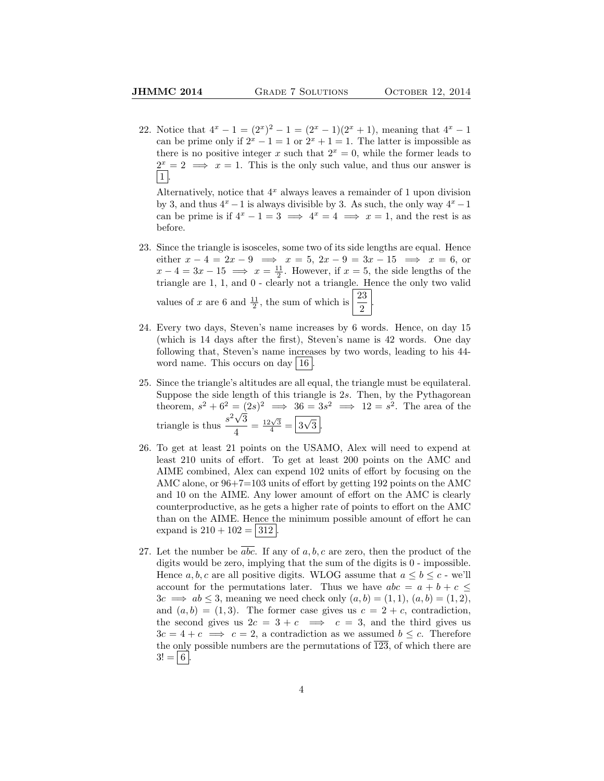22. Notice that  $4^x - 1 = (2^x)^2 - 1 = (2^x - 1)(2^x + 1)$ , meaning that  $4^x - 1$ can be prime only if  $2^x - 1 = 1$  or  $2^x + 1 = 1$ . The latter is impossible as there is no positive integer x such that  $2^x = 0$ , while the former leads to  $2^x = 2 \implies x = 1$ . This is the only such value, and thus our answer is  $\vert 1 \vert$ 

Alternatively, notice that  $4^x$  always leaves a remainder of 1 upon division by 3, and thus  $4^x - 1$  is always divisible by 3. As such, the only way  $4^x - 1$ can be prime is if  $4^x - 1 = 3 \implies 4^x = 4 \implies x = 1$ , and the rest is as before.

- 23. Since the triangle is isosceles, some two of its side lengths are equal. Hence either  $x - 4 = 2x - 9 \implies x = 5, 2x - 9 = 3x - 15 \implies x = 6$ , or  $x - 4 = 3x - 15 \implies x = \frac{11}{2}$ . However, if  $x = 5$ , the side lengths of the triangle are 1, 1, and 0 - clearly not a triangle. Hence the only two valid values of x are 6 and  $\frac{11}{2}$ , the sum of which is  $\frac{23}{2}$ 2 .
- 24. Every two days, Steven's name increases by 6 words. Hence, on day 15 (which is 14 days after the first), Steven's name is 42 words. One day following that, Steven's name increases by two words, leading to his 44 word name. This occurs on day  $|16|$
- 25. Since the triangle's altitudes are all equal, the triangle must be equilateral. Suppose the side length of this triangle is 2s. Then, by the Pythagorean theorem,  $s^2 + 6^2 = (2s)^2 \implies 36 = 3s^2 \implies 12 = s^2$ . The area of the triangle is thus  $\frac{s^2\sqrt{3}}{4}$  $\frac{\sqrt{3}}{4} = \frac{12\sqrt{3}}{4} = \boxed{3}$ √  $3$  .
- 26. To get at least 21 points on the USAMO, Alex will need to expend at least 210 units of effort. To get at least 200 points on the AMC and AIME combined, Alex can expend 102 units of effort by focusing on the AMC alone, or 96+7=103 units of effort by getting 192 points on the AMC and 10 on the AIME. Any lower amount of effort on the AMC is clearly counterproductive, as he gets a higher rate of points to effort on the AMC than on the AIME. Hence the minimum possible amount of effort he can expand is  $210 + 102 = 312$ .
- 27. Let the number be abc. If any of  $a, b, c$  are zero, then the product of the digits would be zero, implying that the sum of the digits is 0 - impossible. Hence a, b, c are all positive digits. WLOG assume that  $a \leq b \leq c$  - we'll account for the permutations later. Thus we have  $abc = a + b + c \leq$  $3c \implies ab \leq 3$ , meaning we need check only  $(a, b) = (1, 1), (a, b) = (1, 2),$ and  $(a, b) = (1, 3)$ . The former case gives us  $c = 2 + c$ , contradiction, the second gives us  $2c = 3 + c \implies c = 3$ , and the third gives us  $3c = 4 + c \implies c = 2$ , a contradiction as we assumed  $b \leq c$ . Therefore the only possible numbers are the permutations of  $\overline{123}$ , of which there are  $3! = 6$ .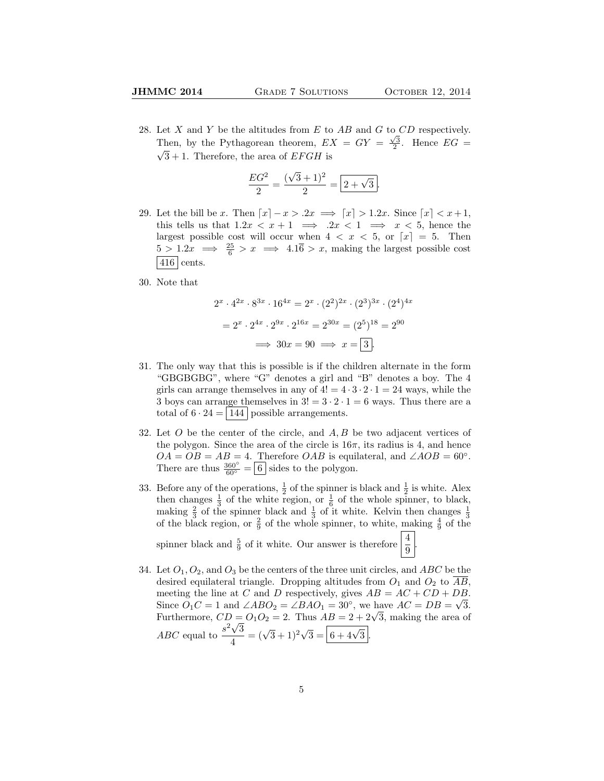.

28. Let X and Y be the altitudes from E to AB and G to  $CD$  respectively. Then, by the Pythagorean theorem,  $EX = GY = \frac{\sqrt{3}}{2}$ . Hence  $EG = \sqrt{3}$  $\sqrt{3} + 1$ . Therefore, the area of EFGH is

$$
\frac{EG^2}{2} = \frac{(\sqrt{3} + 1)^2}{2} = \boxed{2 + \sqrt{3}}.
$$

- 29. Let the bill be x. Then  $\lceil x \rceil x > 0.2x \implies \lceil x \rceil > 1.2x$ . Since  $\lceil x \rceil < x+1$ , this tells us that  $1.2x < x + 1 \implies 2x < 1 \implies x < 5$ , hence the largest possible cost will occur when  $4 < x < 5$ , or  $\lfloor x \rfloor = 5$ . Then  $\frac{5}{5} > 1.2x \implies \frac{25}{6} > x \implies 4.1\overline{6} > x$ , making the largest possible cost | 416 cents.
- 30. Note that

$$
2^{x} \cdot 4^{2x} \cdot 8^{3x} \cdot 16^{4x} = 2^{x} \cdot (2^{2})^{2x} \cdot (2^{3})^{3x} \cdot (2^{4})^{4x}
$$

$$
= 2^{x} \cdot 2^{4x} \cdot 2^{9x} \cdot 2^{16x} = 2^{30x} = (2^{5})^{18} = 2^{90}
$$

$$
\implies 30x = 90 \implies x = \boxed{3}.
$$

- 31. The only way that this is possible is if the children alternate in the form "GBGBGBG", where "G" denotes a girl and "B" denotes a boy. The 4 girls can arrange themselves in any of  $4! = 4 \cdot 3 \cdot 2 \cdot 1 = 24$  ways, while the 3 boys can arrange themselves in  $3! = 3 \cdot 2 \cdot 1 = 6$  ways. Thus there are a total of  $6 \cdot 24 = |144|$  possible arrangements.
- 32. Let  $O$  be the center of the circle, and  $A, B$  be two adjacent vertices of the polygon. Since the area of the circle is  $16\pi$ , its radius is 4, and hence  $OA = OB = AB = 4$ . Therefore *OAB* is equilateral, and  $\angle AOB = 60^\circ$ . There are thus  $\frac{360^{\circ}}{60^{\circ}} = \boxed{6}$  sides to the polygon.
- 33. Before any of the operations,  $\frac{1}{2}$  of the spinner is black and  $\frac{1}{2}$  is white. Alex then changes  $\frac{1}{3}$  of the white region, or  $\frac{1}{6}$  of the whole spinner, to black, making  $\frac{2}{3}$  of the spinner black and  $\frac{1}{3}$  of it white. Kelvin then changes  $\frac{1}{3}$  of the black region, or  $\frac{2}{9}$  of the whole spinner, to white, making  $\frac{4}{9}$  of the

spinner black and  $\frac{5}{9}$  of it white. Our answer is therefore  $\frac{4}{9}$ 

34. Let  $O_1$ ,  $O_2$ , and  $O_3$  be the centers of the three unit circles, and ABC be the desired equilateral triangle. Dropping altitudes from  $O_1$  and  $O_2$  to  $AB$ , meeting the line at C and D respectively, gives  $AB = AC + CD + DB$ . Since  $\ddot{O}_1C = 1$  and  $\angle ABO_2 = \angle BAO_1 = 30^\circ$ , we have  $AC = DB = \sqrt{3}$ . Since  $O_1C = 1$  and  $\angle ABO_2 = \angle BAO_1 = 30^\circ$ , we have  $AC = DB = \sqrt{3}$ .<br>Furthermore,  $CD = O_1O_2 = 2$ . Thus  $AB = 2 + 2\sqrt{3}$ , making the area of ABC equal to  $\frac{s^2\sqrt{3}}{4}$  $\frac{\sqrt{3}}{4} = (\sqrt{3} + 1)^2 \sqrt{3} = \boxed{6 + 4\sqrt{3}}.$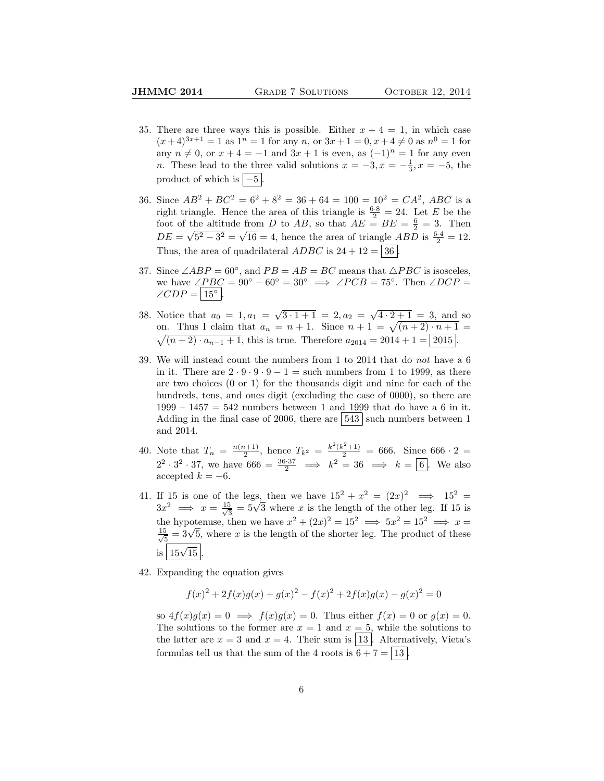- 35. There are three ways this is possible. Either  $x + 4 = 1$ , in which case  $(x+4)^{3x+1} = 1$  as  $1^n = 1$  for any n, or  $3x+1=0, x+4 \neq 0$  as  $n^0 = 1$  for any  $n \neq 0$ , or  $x + 4 = -1$  and  $3x + 1$  is even, as  $(-1)^n = 1$  for any even n. These lead to the three valid solutions  $x = -3, x = -\frac{1}{3}, x = -5$ , the product of which is  $\boxed{-5}$ .
- 36. Since  $AB^2 + BC^2 = 6^2 + 8^2 = 36 + 64 = 100 = 10^2 = CA^2$ , ABC is a right triangle. Hence the area of this triangle is  $\frac{6\cdot 8}{2} = 24$ . Let E be the foot of the altitude from D to AB, so that  $AE = BE = \frac{6}{2} = 3$ . Then  $DE = \sqrt{5^2 - 3^2} = \sqrt{16} = 4$ , hence the area of triangle *ABD* is  $\frac{6.4}{2} = 12$ . Thus, the area of quadrilateral  $ADBC$  is  $24 + 12 = |36|$
- 37. Since  $\angle ABP = 60^\circ$ , and  $PB = AB = BC$  means that  $\triangle PBC$  is isosceles, we have  $\angle PBC = 90^{\circ} - 60^{\circ} = 30^{\circ} \implies \angle PCB = 75^{\circ}$ . Then  $\angle DCP =$  $\angle CDP = |15^{\circ}|.$
- 38. Notice that  $a_0 = 1, a_1 = \sqrt{3 \cdot 1 + 1} = 2, a_2 = \sqrt{4 \cdot 2 + 1} = 3$ , and so on. Thus I claim that  $a_n = n + 1$ . Since  $n + 1 = \sqrt{(n+2) \cdot n + 1}$  $\sqrt{(n+2)\cdot a_{n-1}+1}$ , this is true. Therefore  $a_{2014} = 2014 + 1 = |2015|$ .
- 39. We will instead count the numbers from 1 to 2014 that do not have a 6 in it. There are  $2 \cdot 9 \cdot 9 \cdot 9 - 1 =$  such numbers from 1 to 1999, as there are two choices (0 or 1) for the thousands digit and nine for each of the hundreds, tens, and ones digit (excluding the case of 0000), so there are 1999 − 1457 = 542 numbers between 1 and 1999 that do have a 6 in it. Adding in the final case of 2006, there are  $\vert 543 \vert$  such numbers between 1 and 2014.
- 40. Note that  $T_n = \frac{n(n+1)}{2}$  $\frac{(k+1)}{2}$ , hence  $T_{k^2} = \frac{k^2(k^2+1)}{2} = 666$ . Since  $666 \cdot 2 =$  $2^2 \cdot 3^2 \cdot 37$ , we have  $666 = \frac{36 \cdot 37}{2} \implies k^2 = 36 \implies k = 6$ . We also accepted  $k = -6$ .
- 41. If 15 is one of the legs, then we have  $15^2 + x^2 = (2x)^2 \implies 15^2 =$  $3x^2 \implies x = \frac{15}{\sqrt{3}}$ the legs, then we have  $15^2 + x^2 = (2x)^2 \implies 15^2 = \frac{5}{3} = 5\sqrt{3}$  where x is the length of the other leg. If 15 is the hypotenuse, then we have  $x^2 + (2x)^2 = 15^2 \implies 5x^2 = 15^2 \implies x =$  $\frac{15}{5}$ the hypotenuse, then we have  $x^2 + (2x)^2 = 15^2 \implies 3x^2 = 15^2 \implies x = \frac{5}{5} = 3\sqrt{5}$ , where x is the length of the shorter leg. The product of these  $\frac{15}{15\sqrt{15}}$ .
- 42. Expanding the equation gives

$$
f(x)^{2} + 2f(x)g(x) + g(x)^{2} - f(x)^{2} + 2f(x)g(x) - g(x)^{2} = 0
$$

so  $4f(x)g(x) = 0 \implies f(x)g(x) = 0$ . Thus either  $f(x) = 0$  or  $g(x) = 0$ . The solutions to the former are  $x = 1$  and  $x = 5$ , while the solutions to the latter are  $x = 3$  and  $x = 4$ . Their sum is [13]. Alternatively, Vieta's formulas tell us that the sum of the 4 roots is  $6 + 7 = \boxed{13}$ .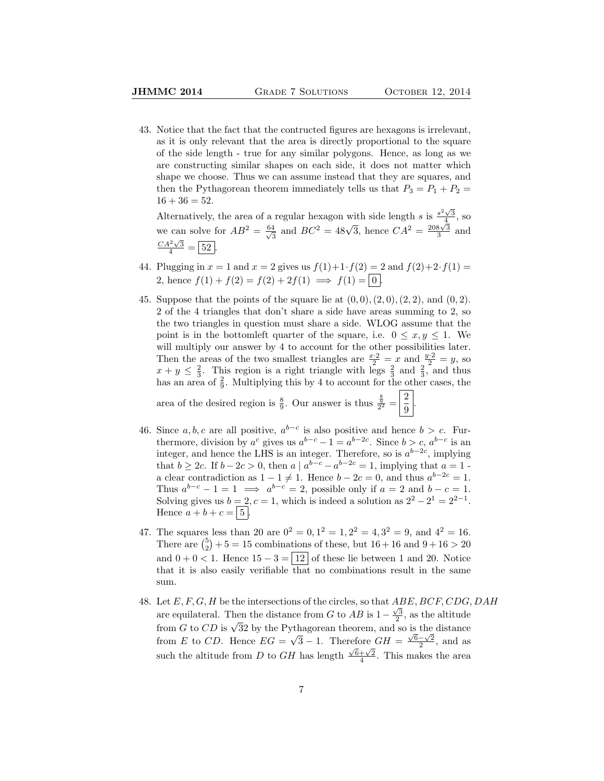43. Notice that the fact that the contructed figures are hexagons is irrelevant, as it is only relevant that the area is directly proportional to the square of the side length - true for any similar polygons. Hence, as long as we are constructing similar shapes on each side, it does not matter which shape we choose. Thus we can assume instead that they are squares, and then the Pythagorean theorem immediately tells us that  $P_3 = P_1 + P_2 =$  $16 + 36 = 52.$ 

Alternatively, the area of a regular hexagon with side length s is  $\frac{s^2\sqrt{3}}{4}$ , so we can solve for  $AB^2 = \frac{64}{\sqrt{6}}$  $\frac{4}{3}$  and  $BC^2 = 48\sqrt{3}$ , hence  $CA^2 = \frac{208\sqrt{3}}{3}$  and  $\frac{CA^2\sqrt{3}}{4} = \boxed{52}.$ 

- 44. Plugging in  $x = 1$  and  $x = 2$  gives us  $f(1) + 1 \cdot f(2) = 2$  and  $f(2) + 2 \cdot f(1) =$ 2, hence  $f(1) + f(2) = f(2) + 2f(1) \implies f(1) = 0$ .
- 45. Suppose that the points of the square lie at  $(0, 0), (2, 0), (2, 2),$  and  $(0, 2)$ . 2 of the 4 triangles that don't share a side have areas summing to 2, so the two triangles in question must share a side. WLOG assume that the point is in the bottomleft quarter of the square, i.e.  $0 \le x, y \le 1$ . We will multiply our answer by 4 to account for the other possibilities later. Then the areas of the two smallest triangles are  $\frac{x \cdot 2}{2} = x$  and  $\frac{y \cdot 2}{2} = y$ , so  $x + y \leq \frac{2}{3}$ . This region is a right triangle with legs  $\frac{2}{3}$  and  $\frac{2}{3}$ , and thus has an area of  $\frac{2}{9}$ . Multiplying this by 4 to account for the other cases, the area of the desired region is  $\frac{8}{9}$ . Our answer is thus  $\frac{\frac{8}{9}}{2^2} = \frac{2}{9}$  $\frac{2}{9}$
- 46. Since  $a, b, c$  are all positive,  $a^{b-c}$  is also positive and hence  $b > c$ . Furthermore, division by  $a^c$  gives us  $a^{b-c}-1 = a^{b-2c}$ . Since  $b > c$ ,  $a^{b-c}$  is an integer, and hence the LHS is an integer. Therefore, so is  $a^{b-2c}$ , implying that  $b \ge 2c$ . If  $b - 2c > 0$ , then  $a \mid a^{b-c} - a^{b-2c} = 1$ , implying that  $a = 1$ . a clear contradiction as  $1 - 1 \neq 1$ . Hence  $b - 2c = 0$ , and thus  $a^{b-2c} = 1$ . Thus  $a^{b-c} - 1 = 1 \implies a^{b-c} = 2$ , possible only if  $a = 2$  and  $b - c = 1$ . Solving gives us  $b = 2, c = 1$ , which is indeed a solution as  $2^2 - 2^1 = 2^{2-1}$ . Hence  $a + b + c = |5|$ .
- 47. The squares less than 20 are  $0^2 = 0, 1^2 = 1, 2^2 = 4, 3^2 = 9$ , and  $4^2 = 16$ . There are  $\binom{5}{2} + 5 = 15$  combinations of these, but  $16 + 16$  and  $9 + 16 > 20$ and  $0 + 0 < 1$ . Hence  $15 - 3 = |12|$  of these lie between 1 and 20. Notice that it is also easily verifiable that no combinations result in the same sum.
- 48. Let  $E, F, G, H$  be the intersections of the circles, so that  $ABE, BCF, CDG, DAH$ are equilateral. Then the distance from G to  $AB$  is  $1-\frac{\sqrt{3}}{2}$ , as the altitude are equilateral. Then the ulstance nom G to AD is  $1 - \frac{1}{2}$ , as the artitude from G to CD is  $\sqrt{32}$  by the Pythagorean theorem, and so is the distance from  $E$  to  $CD$ . Hence  $EG =$ √  $\overline{3} - 1$ . Therefore  $GH = \frac{\sqrt{6}-\sqrt{2}}{2}$ , and as such the altitude from D to GH has length  $\frac{\sqrt{6}+\sqrt{2}}{4}$ . This makes the area